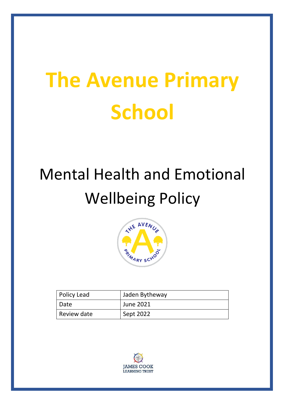# **The Avenue Primary School**

# Mental Health and Emotional Wellbeing Policy



| Policy Lead | Jaden Bytheway |
|-------------|----------------|
| Date        | June 2021      |
| Review date | Sept 2022      |

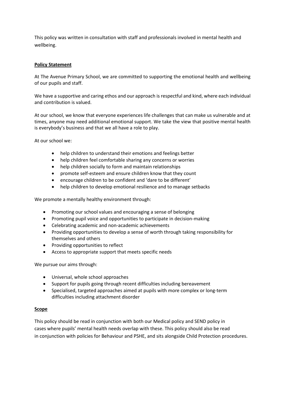This policy was written in consultation with staff and professionals involved in mental health and wellbeing.

#### **Policy Statement**

At The Avenue Primary School, we are committed to supporting the emotional health and wellbeing of our pupils and staff.

We have a supportive and caring ethos and our approach is respectful and kind, where each individual and contribution is valued.

At our school, we know that everyone experiences life challenges that can make us vulnerable and at times, anyone may need additional emotional support. We take the view that positive mental health is everybody's business and that we all have a role to play.

At our school we:

- help children to understand their emotions and feelings better
- help children feel comfortable sharing any concerns or worries
- help children socially to form and maintain relationships
- promote self-esteem and ensure children know that they count
- encourage children to be confident and 'dare to be different'
- help children to develop emotional resilience and to manage setbacks

We promote a mentally healthy environment through:

- Promoting our school values and encouraging a sense of belonging
- Promoting pupil voice and opportunities to participate in decision-making
- Celebrating academic and non-academic achievements
- Providing opportunities to develop a sense of worth through taking responsibility for themselves and others
- Providing opportunities to reflect
- Access to appropriate support that meets specific needs

We pursue our aims through:

- Universal, whole school approaches
- Support for pupils going through recent difficulties including bereavement
- Specialised, targeted approaches aimed at pupils with more complex or long-term difficulties including attachment disorder

#### **Scope**

This policy should be read in conjunction with both our Medical policy and SEND policy in cases where pupils' mental health needs overlap with these. This policy should also be read in conjunction with policies for Behaviour and PSHE, and sits alongside Child Protection procedures.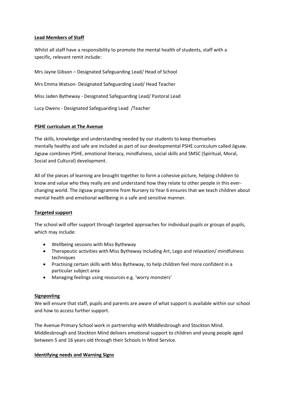#### **Lead Members of Staff**

Whilst all staff have a responsibility to promote the mental health of students, staff with a specific, relevant remit include:

Mrs Jayne Gibson – Designated Safeguarding Lead/ Head of School Mrs Emma Watson- Designated Safeguarding Lead/ Head Teacher Miss Jaden Bytheway - Designated Safeguarding Lead/ Pastoral Lead Lucy Owens - Designated Safeguarding Lead /Teacher

# **PSHE curriculum at The Avenue**

The skills, knowledge and understanding needed by our students to keep themselves mentally healthy and safe are included as part of our developmental PSHE curriculum called Jigsaw. Jigsaw combines PSHE, emotional literacy, mindfulness, social skills and SMSC (Spiritual, Moral, Social and Cultural) development.

All of the pieces of learning are brought together to form a cohesive picture, helping children to know and value who they really are and understand how they relate to other people in this everchanging world. The Jigsaw programme from Nursery to Year 6 ensures that we teach children about mental health and emotional wellbeing in a safe and sensitive manner.

# **Targeted support**

The school will offer support through targeted approaches for individual pupils or groups of pupils, which may include:

- Wellbeing sessions with Miss Bytheway
- Therapeutic activities with Miss Bytheway including Art, Lego and relaxation/ mindfulness techniques
- Practising certain skills with Miss Bytheway, to help children feel more confident in a particular subject area
- Managing feelings using resources e.g. 'worry monsters'

# **Signposting**

We will ensure that staff, pupils and parents are aware of what support is available within our school and how to access further support.

The Avenue Primary School work in partnership with Middlesbrough and Stockton Mind. Middlesbrough and Stockton Mind delivers emotional support to children and young people aged between 5 and 16 years old through their Schools In Mind Service.

# **Identifying needs and Warning Signs**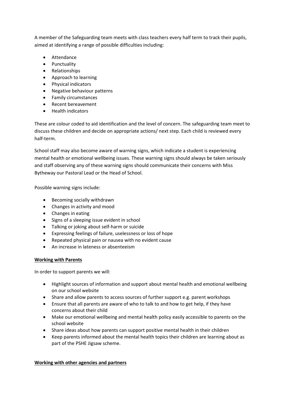A member of the Safeguarding team meets with class teachers every half term to track their pupils, aimed at identifying a range of possible difficulties including:

- Attendance
- Punctuality
- Relationships
- Approach to learning
- Physical indicators
- Negative behaviour patterns
- Family circumstances
- Recent bereavement
- Health indicators

These are colour coded to aid identification and the level of concern. The safeguarding team meet to discuss these children and decide on appropriate actions/ next step. Each child is reviewed every half-term.

School staff may also become aware of warning signs, which indicate a student is experiencing mental health or emotional wellbeing issues. These warning signs should always be taken seriously and staff observing any of these warning signs should communicate their concerns with Miss Bytheway our Pastoral Lead or the Head of School.

Possible warning signs include:

- Becoming socially withdrawn
- Changes in activity and mood
- Changes in eating
- Signs of a sleeping issue evident in school
- Talking or joking about self-harm or suicide
- Expressing feelings of failure, uselessness or loss of hope
- Repeated physical pain or nausea with no evident cause
- An increase in lateness or absenteeism

# **Working with Parents**

In order to support parents we will:

- Highlight sources of information and support about mental health and emotional wellbeing on our school website
- Share and allow parents to access sources of further support e.g. parent workshops
- Ensure that all parents are aware of who to talk to and how to get help, if they have concerns about their child
- Make our emotional wellbeing and mental health policy easily accessible to parents on the school website
- Share ideas about how parents can support positive mental health in their children
- Keep parents informed about the mental health topics their children are learning about as part of the PSHE Jigsaw scheme.

# **Working with other agencies and partners**